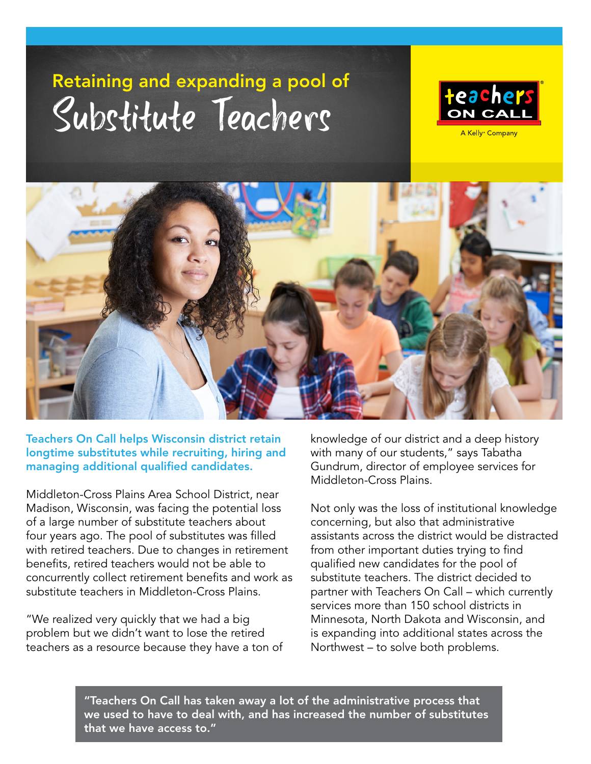## Retaining and expanding a pool of Substitute Teachers

= =



A Kelly<sup>®</sup> Company



Teachers On Call helps Wisconsin district retain longtime substitutes while recruiting, hiring and managing additional qualified candidates.

Middleton-Cross Plains Area School District, near Madison, Wisconsin, was facing the potential loss of a large number of substitute teachers about four years ago. The pool of substitutes was filled with retired teachers. Due to changes in retirement benefits, retired teachers would not be able to concurrently collect retirement benefits and work as substitute teachers in Middleton-Cross Plains.

"We realized very quickly that we had a big problem but we didn't want to lose the retired teachers as a resource because they have a ton of knowledge of our district and a deep history with many of our students," says Tabatha Gundrum, director of employee services for Middleton-Cross Plains.

Not only was the loss of institutional knowledge concerning, but also that administrative assistants across the district would be distracted from other important duties trying to find qualified new candidates for the pool of substitute teachers. The district decided to partner with Teachers On Call – which currently services more than 150 school districts in Minnesota, North Dakota and Wisconsin, and is expanding into additional states across the Northwest – to solve both problems.

"Teachers On Call has taken away a lot of the administrative process that we used to have to deal with, and has increased the number of substitutes that we have access to."